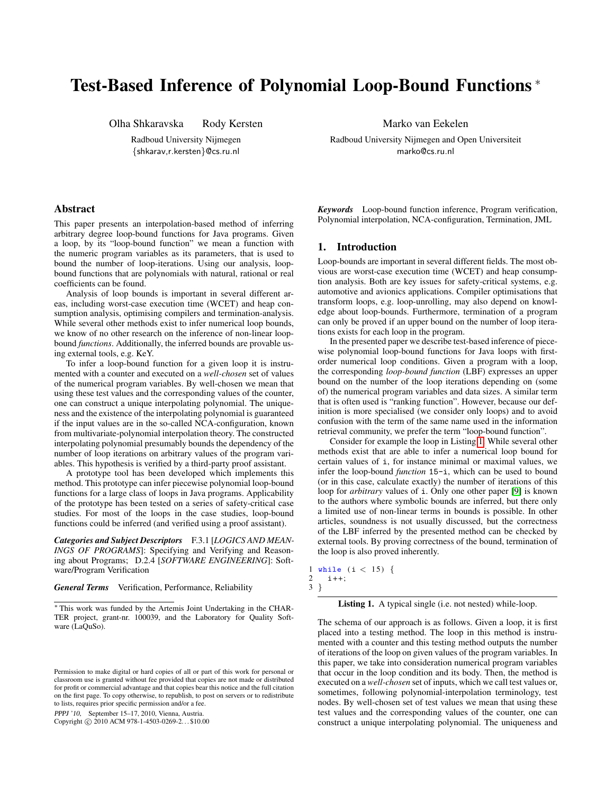# Test-Based Inference of Polynomial Loop-Bound Functions <sup>∗</sup>

Olha Shkaravska Rody Kersten

Radboud University Nijmegen {shkarav,r.kersten}@cs.ru.nl

# Abstract

This paper presents an interpolation-based method of inferring arbitrary degree loop-bound functions for Java programs. Given a loop, by its "loop-bound function" we mean a function with the numeric program variables as its parameters, that is used to bound the number of loop-iterations. Using our analysis, loopbound functions that are polynomials with natural, rational or real coefficients can be found.

Analysis of loop bounds is important in several different areas, including worst-case execution time (WCET) and heap consumption analysis, optimising compilers and termination-analysis. While several other methods exist to infer numerical loop bounds, we know of no other research on the inference of non-linear loopbound *functions*. Additionally, the inferred bounds are provable using external tools, e.g. KeY.

To infer a loop-bound function for a given loop it is instrumented with a counter and executed on a *well-chosen* set of values of the numerical program variables. By well-chosen we mean that using these test values and the corresponding values of the counter, one can construct a unique interpolating polynomial. The uniqueness and the existence of the interpolating polynomial is guaranteed if the input values are in the so-called NCA-configuration, known from multivariate-polynomial interpolation theory. The constructed interpolating polynomial presumably bounds the dependency of the number of loop iterations on arbitrary values of the program variables. This hypothesis is verified by a third-party proof assistant.

A prototype tool has been developed which implements this method. This prototype can infer piecewise polynomial loop-bound functions for a large class of loops in Java programs. Applicability of the prototype has been tested on a series of safety-critical case studies. For most of the loops in the case studies, loop-bound functions could be inferred (and verified using a proof assistant).

*Categories and Subject Descriptors* F.3.1 [*LOGICS AND MEAN-INGS OF PROGRAMS*]: Specifying and Verifying and Reasoning about Programs; D.2.4 [*SOFTWARE ENGINEERING*]: Software/Program Verification

*General Terms* Verification, Performance, Reliability

PPPJ '10, September 15–17, 2010, Vienna, Austria.

Copyright © 2010 ACM 978-1-4503-0269-2... \$10.00

Marko van Eekelen

Radboud University Nijmegen and Open Universiteit marko@cs.ru.nl

*Keywords* Loop-bound function inference, Program verification, Polynomial interpolation, NCA-configuration, Termination, JML

# 1. Introduction

Loop-bounds are important in several different fields. The most obvious are worst-case execution time (WCET) and heap consumption analysis. Both are key issues for safety-critical systems, e.g. automotive and avionics applications. Compiler optimisations that transform loops, e.g. loop-unrolling, may also depend on knowledge about loop-bounds. Furthermore, termination of a program can only be proved if an upper bound on the number of loop iterations exists for each loop in the program.

In the presented paper we describe test-based inference of piecewise polynomial loop-bound functions for Java loops with firstorder numerical loop conditions. Given a program with a loop, the corresponding *loop-bound function* (LBF) expresses an upper bound on the number of the loop iterations depending on (some of) the numerical program variables and data sizes. A similar term that is often used is "ranking function". However, because our definition is more specialised (we consider only loops) and to avoid confusion with the term of the same name used in the information retrieval community, we prefer the term "loop-bound function".

Consider for example the loop in Listing [1.](#page-0-0) While several other methods exist that are able to infer a numerical loop bound for certain values of i, for instance minimal or maximal values, we infer the loop-bound *function* 15-i, which can be used to bound (or in this case, calculate exactly) the number of iterations of this loop for *arbitrary* values of i. Only one other paper [\[9\]](#page-9-0) is known to the authors where symbolic bounds are inferred, but there only a limited use of non-linear terms in bounds is possible. In other articles, soundness is not usually discussed, but the correctness of the LBF inferred by the presented method can be checked by external tools. By proving correctness of the bound, termination of the loop is also proved inherently.

<span id="page-0-0"></span> $\frac{1 \text{ while }}{2 \text{ i++}}$  (i < 15) {  $i++;$ 3 }



The schema of our approach is as follows. Given a loop, it is first placed into a testing method. The loop in this method is instrumented with a counter and this testing method outputs the number of iterations of the loop on given values of the program variables. In this paper, we take into consideration numerical program variables that occur in the loop condition and its body. Then, the method is executed on a *well-chosen* set of inputs, which we call test values or, sometimes, following polynomial-interpolation terminology, test nodes. By well-chosen set of test values we mean that using these test values and the corresponding values of the counter, one can construct a unique interpolating polynomial. The uniqueness and

<sup>∗</sup> This work was funded by the Artemis Joint Undertaking in the CHAR-TER project, grant-nr. 100039, and the Laboratory for Quality Software (LaQuSo).

Permission to make digital or hard copies of all or part of this work for personal or classroom use is granted without fee provided that copies are not made or distributed for profit or commercial advantage and that copies bear this notice and the full citation on the first page. To copy otherwise, to republish, to post on servers or to redistribute to lists, requires prior specific permission and/or a fee.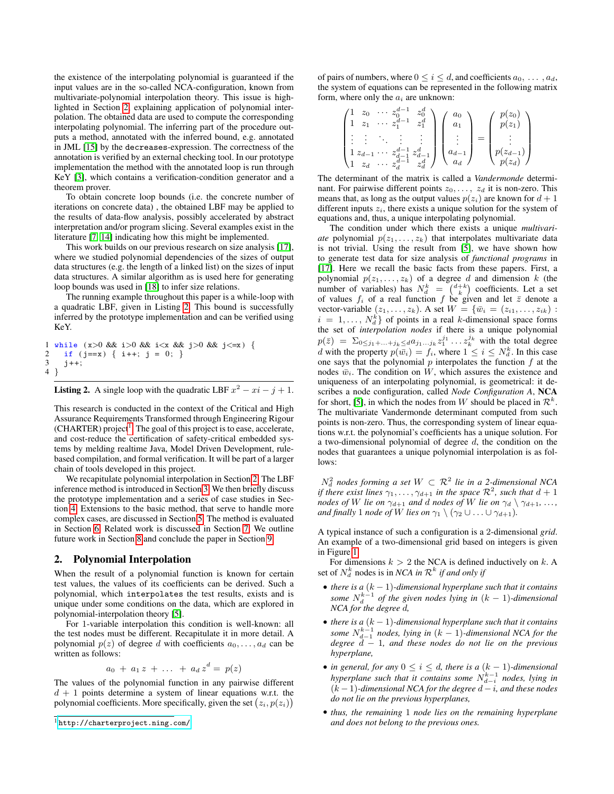the existence of the interpolating polynomial is guaranteed if the input values are in the so-called NCA-configuration, known from multivariate-polynomial interpolation theory. This issue is highlighted in Section [2,](#page-1-0) explaining application of polynomial interpolation. The obtained data are used to compute the corresponding interpolating polynomial. The inferring part of the procedure outputs a method, annotated with the inferred bound, e.g. annotated in JML [\[15\]](#page-9-1) by the decreases-expression. The correctness of the annotation is verified by an external checking tool. In our prototype implementation the method with the annotated loop is run through KeY [\[3\]](#page-9-2), which contains a verification-condition generator and a theorem prover.

To obtain concrete loop bounds (i.e. the concrete number of iterations on concrete data) , the obtained LBF may be applied to the results of data-flow analysis, possibly accelerated by abstract interpretation and/or program slicing. Several examples exist in the literature [\[7,](#page-9-3) [14\]](#page-9-4) indicating how this might be implemented.

This work builds on our previous research on size analysis [\[17\]](#page-9-5), where we studied polynomial dependencies of the sizes of output data structures (e.g. the length of a linked list) on the sizes of input data structures. A similar algorithm as is used here for generating loop bounds was used in [\[18\]](#page-9-6) to infer size relations.

The running example throughout this paper is a while-loop with a quadratic LBF, given in Listing [2.](#page-1-1) This bound is successfully inferred by the prototype implementation and can be verified using KeY.

```
1 while (x>0 \&x \in 0) & i (x \&x \&y) = 0 & i (x \in x) {
2 if (j == x) { i++; j = 0; }<br>3 i++;3 j++;
4 }
```
**Listing 2.** A single loop with the quadratic LBF  $x^2 - xi - j + 1$ .

This research is conducted in the context of the Critical and High Assurance Requirements Transformed through Engineering Rigour  $(CHAPTER)$  project<sup>[1](#page-1-2)</sup>. The goal of this project is to ease, accelerate, and cost-reduce the certification of safety-critical embedded systems by melding realtime Java, Model Driven Development, rulebased compilation, and formal verification. It will be part of a larger chain of tools developed in this project.

We recapitulate polynomial interpolation in Section [2.](#page-1-0) The LBF inference method is introduced in Section [3.](#page-2-0) We then briefly discuss the prototype implementation and a series of case studies in Section [4.](#page-5-0) Extensions to the basic method, that serve to handle more complex cases, are discussed in Section [5.](#page-5-1) The method is evaluated in Section [6.](#page-7-0) Related work is discussed in Section [7.](#page-7-1) We outline future work in Section [8](#page-8-0) and conclude the paper in Section [9.](#page-9-7)

#### <span id="page-1-0"></span>2. Polynomial Interpolation

When the result of a polynomial function is known for certain test values, the values of its coefficients can be derived. Such a polynomial, which interpolates the test results, exists and is unique under some conditions on the data, which are explored in polynomial-interpolation theory [\[5\]](#page-9-8).

For 1-variable interpolation this condition is well-known: all the test nodes must be different. Recapitulate it in more detail. A polynomial  $p(z)$  of degree d with coefficients  $a_0, \ldots, a_d$  can be written as follows:

$$
a_0 + a_1 z + \ldots + a_d z^d = p(z)
$$

The values of the polynomial function in any pairwise different  $d + 1$  points determine a system of linear equations w.r.t. the polynomial coefficients. More specifically, given the set  $(z_i, p(z_i))$ 

of pairs of numbers, where  $0 \le i \le d$ , and coefficients  $a_0, \ldots, a_d$ , the system of equations can be represented in the following matrix form, where only the  $a_i$  are unknown:

$$
\begin{pmatrix} 1 & z_0 & \cdots & z_0^{d-1} & z_0^d \\ 1 & z_1 & \cdots & z_1^{d-1} & z_1^d \\ \vdots & \vdots & \ddots & \vdots & \vdots \\ 1 & z_{d-1} & \cdots & z_{d-1}^{d-1} & z_{d-1}^d \\ 1 & z_d & \cdots & z_d^{d-1} & z_d^d \end{pmatrix} \begin{pmatrix} a_0 \\ a_1 \\ \vdots \\ a_{d-1} \\ a_d \end{pmatrix} = \begin{pmatrix} p(z_0) \\ p(z_1) \\ \vdots \\ p(z_{d-1}) \\ p(z_d) \end{pmatrix}
$$

The determinant of the matrix is called a *Vandermonde* determinant. For pairwise different points  $z_0, \ldots, z_d$  it is non-zero. This means that, as long as the output values  $p(z_i)$  are known for  $d+1$ different inputs  $z_i$ , there exists a unique solution for the system of equations and, thus, a unique interpolating polynomial.

The condition under which there exists a unique *multivariate* polynomial  $p(z_1, \ldots, z_k)$  that interpolates multivariate data is not trivial. Using the result from [\[5\]](#page-9-8), we have shown how to generate test data for size analysis of *functional programs* in [\[17\]](#page-9-5). Here we recall the basic facts from these papers. First, a polynomial  $p(z_1, \ldots, z_k)$  of a degree d and dimension k (the number of variables) has  $N_d^k = \binom{d+k}{k}$  coefficients. Let a set of values  $f_i$  of a real function f be given and let  $\bar{z}$  denote a vector-variable  $(z_1, \ldots, z_k)$ . A set  $W = \{\bar{w}_i = (z_{i1}, \ldots, z_{ik})\}$ :  $i = 1, \ldots, N_d^k$  of points in a real k-dimensional space forms the set of *interpolation nodes* if there is a unique polynomial  $p(\bar{z}) = \sum_{0 \leq j_1 + ... + j_k \leq d} a_{j_1...j_k} z_1^{j_1} ... z_k^{j_k}$  with the total degree d with the property  $p(\bar{w}_i) = f_i$ , where  $1 \leq i \leq N_d^k$ . In this case one says that the polynomial  $p$  interpolates the function  $f$  at the nodes  $\bar{w}_i$ . The condition on W, which assures the existence and uniqueness of an interpolating polynomial, is geometrical: it describes a node configuration, called *Node Configuration A*, NCA for short, [\[5\]](#page-9-8), in which the nodes from W should be placed in  $\mathcal{R}^k$ . The multivariate Vandermonde determinant computed from such points is non-zero. Thus, the corresponding system of linear equations w.r.t. the polynomial's coefficients has a unique solution. For a two-dimensional polynomial of degree  $d$ , the condition on the nodes that guarantees a unique polynomial interpolation is as follows:

 $N_d^2$  nodes forming a set  $W \subset \mathcal{R}^2$  lie in a 2-dimensional NCA *if there exist lines*  $\gamma_1, \ldots, \gamma_{d+1}$  *in the space*  $\mathcal{R}^2$ , *such that*  $d+1$ *nodes of* W lie on  $\gamma_{d+1}$  *and* d *nodes of* W lie on  $\gamma_d \setminus \gamma_{d+1}$ , ..., *and finally* 1 *node of* W lies on  $\gamma_1 \setminus (\gamma_2 \cup \ldots \cup \gamma_{d+1})$ *.* 

A typical instance of such a configuration is a 2-dimensional *grid*. An example of a two-dimensional grid based on integers is given in Figure [1.](#page-2-1)

For dimensions  $k > 2$  the NCA is defined inductively on k. A set of  $N_d^k$  nodes is in *NCA in*  $\mathcal{R}^k$  *if and only if* 

- *there is a* (k − 1)*-dimensional hyperplane such that it contains* some  $N_d^{k-1}$  of the given nodes lying in  $(k-1)$ -dimensional *NCA for the degree* d*,*
- *there is a* (k − 1)*-dimensional hyperplane such that it contains* some  $N_{d-1}^{k-1}$  nodes, lying in  $(k-1)$ -dimensional NCA for the *degree* d − 1*, and these nodes do not lie on the previous hyperplane,*
- *in general, for any*  $0 \le i \le d$ , there is a  $(k 1)$ -dimensional *hyperplane such that it contains some*  $N_{d-i}^{k-1}$  *nodes, lying in*  $(k-1)$ -dimensional NCA for the degree  $d - i$ , and these nodes *do not lie on the previous hyperplanes,*
- *thus, the remaining* 1 *node lies on the remaining hyperplane and does not belong to the previous ones.*

<span id="page-1-2"></span><sup>1</sup> <http://charterproject.ning.com/>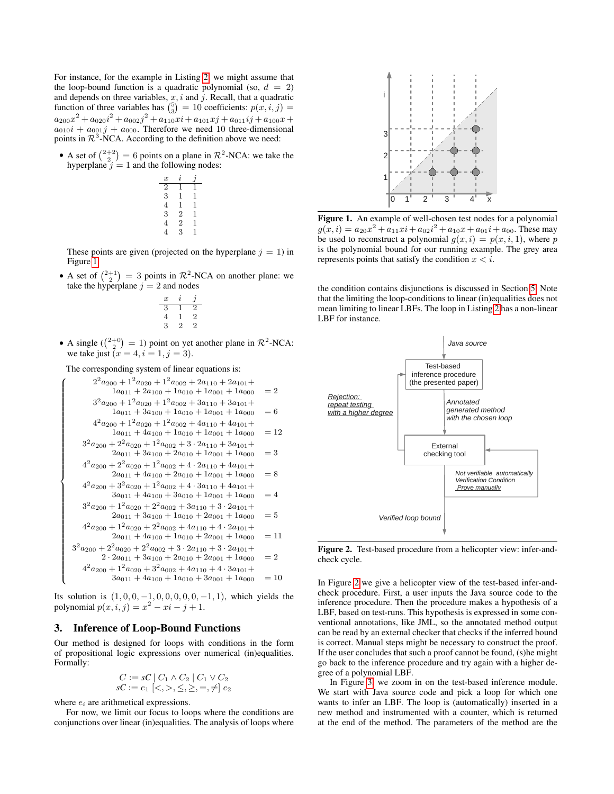For instance, for the example in Listing [2,](#page-1-1) we might assume that the loop-bound function is a quadratic polynomial (so,  $d = 2$ ) and depends on three variables,  $x$ ,  $i$  and  $j$ . Recall, that a quadratic function of three variables has  $\binom{5}{3} = 10$  coefficients:  $p(x, i, j) =$  $a_{200}x^2 + a_{020}i^2 + a_{002}j^2 + a_{110}xi + a_{101}xj + a_{011}ij + a_{100}x +$  $a_{010}i + a_{001}j + a_{000}$ . Therefore we need 10 three-dimensional points in  $\mathcal{R}^3$ -NCA. According to the definition above we need:

• A set of  $\binom{2+2}{2} = 6$  points on a plane in  $\mathcal{R}^2$ -NCA: we take the hyperplane  $j = 1$  and the following nodes:

$$
\begin{array}{c c c c c c c c c} x & i & j \\ \hline 2 & 1 & 1 \\ 3 & 1 & 1 \\ 4 & 1 & 1 \\ 3 & 2 & 1 \\ 4 & 2 & 1 \\ 4 & 3 & 1 \end{array}
$$

These points are given (projected on the hyperplane  $j = 1$ ) in Figure [1.](#page-2-1)

• A set of  $\binom{2+1}{2} = 3$  points in  $\mathcal{R}^2$ -NCA on another plane: we take the hyperplane  $j = 2$  and nodes

$$
\begin{array}{ccccc}\nx & i & j \\
3 & 1 & 2 \\
4 & 1 & 2 \\
3 & 2 & 2\n\end{array}
$$

• A single  $\binom{2+0}{2} = 1$ ) point on yet another plane in  $\mathcal{R}^2$ -NCA: we take just  $(x = 4, i = 1, j = 3)$ .

The corresponding system of linear equations is:

 $\sqrt{2}$ 

>>>>>>>>>>>>>>>>>>>>>>>>>>>>>>>>>>>>><

>>>>>>>>>>>>>>>>>>>>>>>>>>>>>>>>>>>>>:

3

$$
2^{2}a_{200} + 1^{2}a_{020} + 1^{2}a_{002} + 2a_{110} + 2a_{101} + 1a_{001} + 1a_{001} + 1a_{000} = 2
$$
  
\n
$$
3^{2}a_{200} + 1^{2}a_{020} + 1^{2}a_{002} + 3a_{110} + 3a_{101} + 1a_{001} + 1a_{000} = 6
$$
  
\n
$$
4^{2}a_{200} + 1^{2}a_{020} + 1^{2}a_{002} + 4a_{110} + 1a_{001} + 1a_{000} = 6
$$
  
\n
$$
4^{2}a_{200} + 2^{2}a_{200} + 1^{2}a_{002} + 4a_{110} + 4a_{101} + 1a_{000} = 12
$$
  
\n
$$
3^{2}a_{200} + 2^{2}a_{200} + 1^{2}a_{002} + 3 \cdot 2a_{110} + 3a_{101} + 2a_{011} + 3a_{100} + 2a_{010} + 1a_{001} + 1a_{000} = 3
$$
  
\n
$$
4^{2}a_{200} + 2^{2}a_{20} + 1^{2}a_{002} + 4 \cdot 2a_{110} + 4a_{101} + 2a_{011} + 4a_{100} + 2a_{010} + 1a_{001} + 1a_{000} = 8
$$
  
\n
$$
4^{2}a_{200} + 3^{2}a_{200} + 1^{2}a_{002} + 4 \cdot 3a_{110} + 4a_{101} + 3a_{111} + 4a_{101} + 3a_{111} + 4a_{100} + 3a_{011} + 1a_{000} + 3a_{011} + 1a_{000} + 1a_{001} + 1a_{000} = 4
$$
  
\n
$$
3^{2}a_{200} + 1^{2}a_{200} + 2^{2}a_{002} +
$$

Its solution is  $(1, 0, 0, -1, 0, 0, 0, 0, 0, -1, 1)$ , which yields the polynomial  $p(x, i, j) = x^2 - xi - j + 1$ .

# <span id="page-2-0"></span>3. Inference of Loop-Bound Functions

Our method is designed for loops with conditions in the form of propositional logic expressions over numerical (in)equalities. Formally:

$$
C := sC | C_1 \wedge C_2 | C_1 \vee C_2 sC := e_1 \leq, >, \leq, \geq, =, \neq e_2
$$

where  $e_i$  are arithmetical expressions.

For now, we limit our focus to loops where the conditions are conjunctions over linear (in)equalities. The analysis of loops where



<span id="page-2-1"></span>Figure 1. An example of well-chosen test nodes for a polynomial  $g(x, i) = a_{20}x^2 + a_{11}xi + a_{02}i^2 + a_{10}x + a_{01}i + a_{00}$ . These may be used to reconstruct a polynomial  $g(x, i) = p(x, i, 1)$ , where p is the polynomial bound for our running example. The grey area represents points that satisfy the condition  $x < i$ .

the condition contains disjunctions is discussed in Section [5.](#page-5-1) Note that the limiting the loop-conditions to linear (in)equalities does not mean limiting to linear LBFs. The loop in Listing [2](#page-1-1) has a non-linear LBF for instance.



<span id="page-2-2"></span>Figure 2. Test-based procedure from a helicopter view: infer-andcheck cycle.

In Figure [2](#page-2-2) we give a helicopter view of the test-based infer-andcheck procedure. First, a user inputs the Java source code to the inference procedure. Then the procedure makes a hypothesis of a LBF, based on test-runs. This hypothesis is expressed in some conventional annotations, like JML, so the annotated method output can be read by an external checker that checks if the inferred bound is correct. Manual steps might be necessary to construct the proof. If the user concludes that such a proof cannot be found, (s)he might go back to the inference procedure and try again with a higher degree of a polynomial LBF.

In Figure [3,](#page-3-0) we zoom in on the test-based inference module. We start with Java source code and pick a loop for which one wants to infer an LBF. The loop is (automatically) inserted in a new method and instrumented with a counter, which is returned at the end of the method. The parameters of the method are the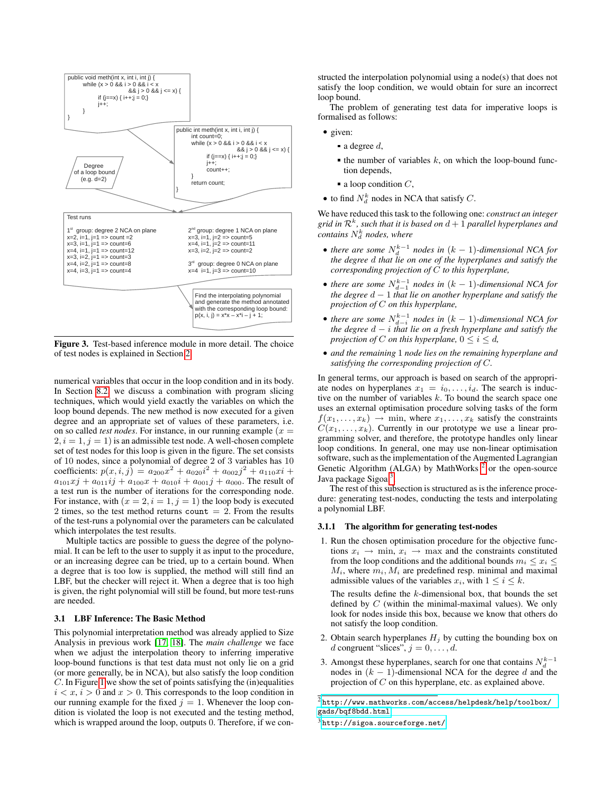

<span id="page-3-0"></span>Figure 3. Test-based inference module in more detail. The choice of test nodes is explained in Section [2.](#page-1-0)

numerical variables that occur in the loop condition and in its body. In Section [8.2,](#page-9-9) we discuss a combination with program slicing techniques, which would yield exactly the variables on which the loop bound depends. The new method is now executed for a given degree and an appropriate set of values of these parameters, i.e. on so called *test nodes*. For instance, in our running example  $(x =$  $2, i = 1, j = 1$  is an admissible test node. A well-chosen complete set of test nodes for this loop is given in the figure. The set consists of 10 nodes, since a polynomial of degree 2 of 3 variables has 10 coefficients:  $p(x, i, j) = a_{200}x^2 + a_{020}i^2 + a_{002}j^2 + a_{110}xi +$  $a_{101}x_1 + a_{011}i_1 + a_{100}x_1 + a_{010}i_1 + a_{001}i_1 + a_{000}$ . The result of a test run is the number of iterations for the corresponding node. For instance, with  $(x = 2, i = 1, j = 1)$  the loop body is executed 2 times, so the test method returns count  $= 2$ . From the results of the test-runs a polynomial over the parameters can be calculated which interpolates the test results.

Multiple tactics are possible to guess the degree of the polynomial. It can be left to the user to supply it as input to the procedure, or an increasing degree can be tried, up to a certain bound. When a degree that is too low is supplied, the method will still find an LBF, but the checker will reject it. When a degree that is too high is given, the right polynomial will still be found, but more test-runs are needed.

### <span id="page-3-3"></span>3.1 LBF Inference: The Basic Method

This polynomial interpretation method was already applied to Size Analysis in previous work [\[17,](#page-9-5) [18\]](#page-9-6). The *main challenge* we face when we adjust the interpolation theory to inferring imperative loop-bound functions is that test data must not only lie on a grid (or more generally, be in NCA), but also satisfy the loop condition C. In Figure [1](#page-2-1) we show the set of points satisfying the (in)equalities  $i < x, i > 0$  and  $x > 0$ . This corresponds to the loop condition in our running example for the fixed  $j = 1$ . Whenever the loop condition is violated the loop is not executed and the testing method, which is wrapped around the loop, outputs 0. Therefore, if we con-

structed the interpolation polynomial using a node(s) that does not satisfy the loop condition, we would obtain for sure an incorrect loop bound.

The problem of generating test data for imperative loops is formalised as follows:

- given:
	- $\blacksquare$  a degree d,
	- $\blacksquare$  the number of variables k, on which the loop-bound function depends,
	- a loop condition  $C$ ,
- to find  $N_d^k$  nodes in NCA that satisfy C.

We have reduced this task to the following one: *construct an integer* grid in  $\mathcal{R}^k$ , such that it is based on  $d+1$  parallel hyperplanes and  $\overline{c}$ *contains*  $N_d^k$  *nodes, where* 

- there are some  $N_d^{k-1}$  nodes in  $(k-1)$ -dimensional NCA for *the degree* d *that lie on one of the hyperplanes and satisfy the corresponding projection of* C *to this hyperplane,*
- there are some  $N_{d-1}^{k-1}$  nodes in  $(k-1)$ -dimensional NCA for *the degree* d − 1 *that lie on another hyperplane and satisfy the projection of* C *on this hyperplane,*
- there are some  $N_{d-i}^{k-1}$  nodes in  $(k-1)$ -dimensional NCA for *the degree* d − i *that lie on a fresh hyperplane and satisfy the projection of* C *on this hyperplane*,  $0 \le i \le d$ ,
- *and the remaining* 1 *node lies on the remaining hyperplane and satisfying the corresponding projection of* C*.*

In general terms, our approach is based on search of the appropriate nodes on hyperplanes  $x_1 = i_0, \ldots, i_d$ . The search is inductive on the number of variables  $k$ . To bound the search space one uses an external optimisation procedure solving tasks of the form  $f(x_1, \ldots, x_k) \rightarrow \min$ , where  $x_1, \ldots, x_k$  satisfy the constraints  $C(x_1, \ldots, x_k)$ . Currently in our prototype we use a linear programming solver, and therefore, the prototype handles only linear loop conditions. In general, one may use non-linear optimisation software, such as the implementation of the Augmented Lagrangian Genetic Algorithm (ALGA) by MathWorks  $<sup>2</sup>$  $<sup>2</sup>$  $<sup>2</sup>$  or the open-source</sup> Java package Sigoa<sup>[3](#page-3-2)</sup>.

The rest of this subsection is structured as is the inference procedure: generating test-nodes, conducting the tests and interpolating a polynomial LBF.

# 3.1.1 The algorithm for generating test-nodes

1. Run the chosen optimisation procedure for the objective functions  $x_i \rightarrow \min, x_i \rightarrow \max$  and the constraints constituted from the loop conditions and the additional bounds  $m_i \leq x_i$  $M_i$ , where  $m_i, M_i$  are predefined resp. minimal and maximal admissible values of the variables  $x_i$ , with  $1 \leq i \leq k$ .

The results define the k-dimensional box, that bounds the set defined by  $C$  (within the minimal-maximal values). We only look for nodes inside this box, because we know that others do not satisfy the loop condition.

- 2. Obtain search hyperplanes  $H_i$  by cutting the bounding box on d congruent "slices",  $j = 0, \ldots, d$ .
- 3. Amongst these hyperplanes, search for one that contains  $N_d^{k-1}$ nodes in  $(k - 1)$ -dimensional NCA for the degree d and the projection of  $C$  on this hyperplane, etc. as explained above.

<span id="page-3-1"></span><sup>2</sup> [http://www.mathworks.com/access/helpdesk/help/toolbox/](http://www.mathworks.com/access/helpdesk/help/toolbox/gads/bqf8bdd.html) [gads/bqf8bdd.html](http://www.mathworks.com/access/helpdesk/help/toolbox/gads/bqf8bdd.html)

<span id="page-3-2"></span><sup>3</sup> <http://sigoa.sourceforge.net/>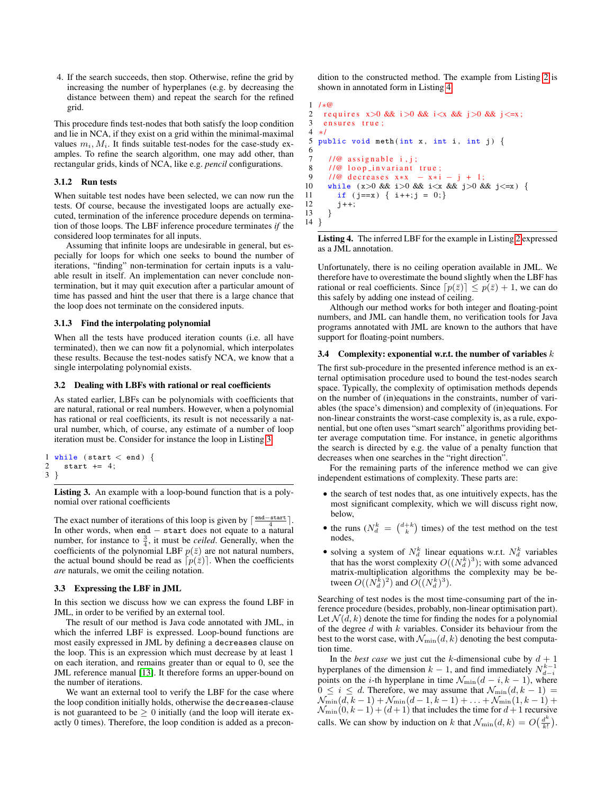4. If the search succeeds, then stop. Otherwise, refine the grid by increasing the number of hyperplanes (e.g. by decreasing the distance between them) and repeat the search for the refined grid.

This procedure finds test-nodes that both satisfy the loop condition and lie in NCA, if they exist on a grid within the minimal-maximal values  $m_i$ ,  $M_i$ . It finds suitable test-nodes for the case-study examples. To refine the search algorithm, one may add other, than rectangular grids, kinds of NCA, like e.g. *pencil* configurations.

# 3.1.2 Run tests

When suitable test nodes have been selected, we can now run the tests. Of course, because the investigated loops are actually executed, termination of the inference procedure depends on termination of those loops. The LBF inference procedure terminates *if* the considered loop terminates for all inputs.

Assuming that infinite loops are undesirable in general, but especially for loops for which one seeks to bound the number of iterations, "finding" non-termination for certain inputs is a valuable result in itself. An implementation can never conclude nontermination, but it may quit execution after a particular amount of time has passed and hint the user that there is a large chance that the loop does not terminate on the considered inputs.

#### 3.1.3 Find the interpolating polynomial

When all the tests have produced iteration counts (i.e. all have terminated), then we can now fit a polynomial, which interpolates these results. Because the test-nodes satisfy NCA, we know that a single interpolating polynomial exists.

#### 3.2 Dealing with LBFs with rational or real coefficients

As stated earlier, LBFs can be polynomials with coefficients that are natural, rational or real numbers. However, when a polynomial has rational or real coefficients, its result is not necessarily a natural number, which, of course, any estimate of a number of loop iteration must be. Consider for instance the loop in Listing [3.](#page-4-0)

```
1 while (start \lt end) {<br>2 start += 4;
     start += 4;
3 }
```
Listing 3. An example with a loop-bound function that is a polynomial over rational coefficients

The exact number of iterations of this loop is given by  $\lceil \frac{\text{end}-\text{start}}{4} \rceil$ . In other words, when end − start does not equate to a natural number, for instance to  $\frac{3}{4}$ , it must be *ceiled*. Generally, when the coefficients of the polynomial LBF  $p(\bar{z})$  are not natural numbers, the actual bound should be read as  $[p(\bar{z})]$ . When the coefficients *are* naturals, we omit the ceiling notation.

#### 3.3 Expressing the LBF in JML

In this section we discuss how we can express the found LBF in JML, in order to be verified by an external tool.

The result of our method is Java code annotated with JML, in which the inferred LBF is expressed. Loop-bound functions are most easily expressed in JML by defining a decreases clause on the loop. This is an expression which must decrease by at least 1 on each iteration, and remains greater than or equal to 0, see the JML reference manual [\[13\]](#page-9-10). It therefore forms an upper-bound on the number of iterations.

We want an external tool to verify the LBF for the case where the loop condition initially holds, otherwise the decreases-clause is not guaranteed to be  $\geq 0$  initially (and the loop will iterate exactly 0 times). Therefore, the loop condition is added as a precondition to the constructed method. The example from Listing [2](#page-1-1) is shown in annotated form in Listing [4.](#page-4-1)

```
\frac{1}{2} /*@
 2 requires x>0 & x \ge 0 & x \ge 0 & x \ge 3 ensures true;
   ensures true;
 4 ∗/
 5 public void meth (int x, int i, int j) {
 \frac{6}{7}1/\omega assignable i, j;
 8 //@ loop_invariant true;
9 / /@ d e c r e a s e s x∗x − x∗ i − j + 1 ;
      while (x>0 \&x \in 0) & i < x & i \times = 0 & & j \cdots = x ) {
11 if (j == x) \{ i++; j = 0; \}<br>12 j++;
        j++;13 }
14 }
```
Listing 4. The inferred LBF for the example in Listing [2](#page-1-1) expressed as a JML annotation.

Unfortunately, there is no ceiling operation available in JML. We therefore have to overestimate the bound slightly when the LBF has rational or real coefficients. Since  $\lceil p(\bar{z}) \rceil \leq p(\bar{z}) + 1$ , we can do this safely by adding one instead of ceiling.

Although our method works for both integer and floating-point numbers, and JML can handle them, no verification tools for Java programs annotated with JML are known to the authors that have support for floating-point numbers.

#### 3.4 Complexity: exponential w.r.t. the number of variables  $k$

The first sub-procedure in the presented inference method is an external optimisation procedure used to bound the test-nodes search space. Typically, the complexity of optimisation methods depends on the number of (in)equations in the constraints, number of variables (the space's dimension) and complexity of (in)equations. For non-linear constraints the worst-case complexity is, as a rule, exponential, but one often uses "smart search" algorithms providing better average computation time. For instance, in genetic algorithms the search is directed by e.g. the value of a penalty function that decreases when one searches in the "right direction".

For the remaining parts of the inference method we can give independent estimations of complexity. These parts are:

- the search of test nodes that, as one intuitively expects, has the most significant complexity, which we will discuss right now, below,
- the runs  $(N_d^k = \binom{d+k}{k}$  times) of the test method on the test nodes,
- solving a system of  $N_d^k$  linear equations w.r.t.  $N_d^k$  variables that has the worst complexity  $O((N_d^k)^3)$ ; with some advanced matrix-multiplication algorithms the complexity may be between  $O((N_d^k)^2)$  and  $O((N_d^k)^3)$ .

Searching of test nodes is the most time-consuming part of the inference procedure (besides, probably, non-linear optimisation part). Let  $\mathcal{N}(d, k)$  denote the time for finding the nodes for a polynomial of the degree  $d$  with  $k$  variables. Consider its behaviour from the best to the worst case, with  $\mathcal{N}_{\min}(d, k)$  denoting the best computation time.

In the *best case* we just cut the k-dimensional cube by  $d + 1$ hyperplanes of the dimension  $k-1$ , and find immediately  $N_{d-i}^{k-1}$ points on the *i*-th hyperplane in time  $\mathcal{N}_{\min}(d - i, k - 1)$ , where  $0 \leq i \leq d$ . Therefore, we may assume that  $\mathcal{N}_{\min}(d, k-1)$  $\mathcal{N}_{\min}(d, k-1) + \mathcal{N}_{\min}(d-1, k-1) + \ldots + \mathcal{N}_{\min}(1, k-1) +$  $\mathcal{N}_{\min}(0, k-1) + (d+1)$  that includes the time for  $d+1$  recursive calls. We can show by induction on k that  $\mathcal{N}_{\min}(d, k) = O\left(\frac{d^k}{k!}\right)$  $\frac{d^{\kappa}}{k!}$ ).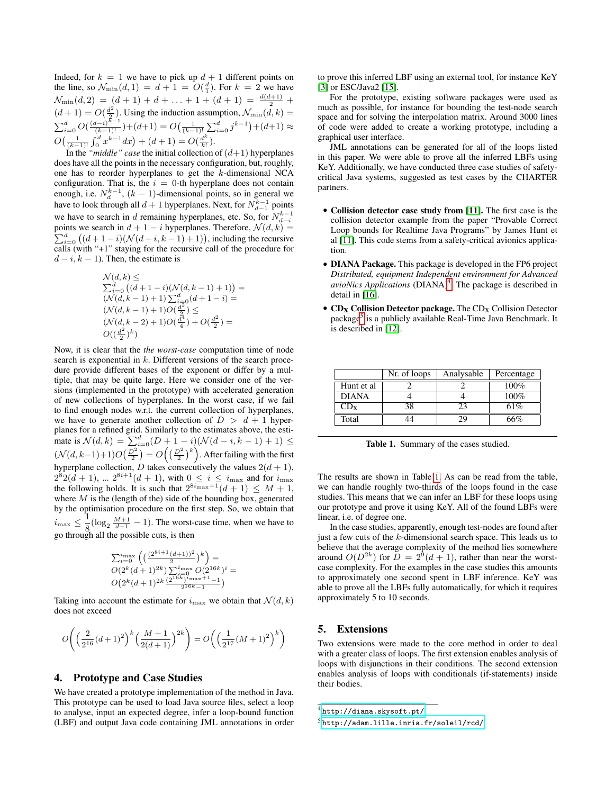Indeed, for  $k = 1$  we have to pick up  $d + 1$  different points on the line, so  $\mathcal{N}_{\min}(d,1) = d + 1 = O(\frac{d}{1})$ . For  $k = 2$  we have  $\mathcal{N}_{\min}(d,2) = (d+1)+d+\ldots+1+(d+1) = \frac{d(d+1)}{2} +$  $(d+1) = O(\frac{d^2}{2})$  $\frac{d^2}{2}$ ). Using the induction assumption,  $\mathcal{N}_{\min}(d, k) =$  $\sum_{i=0}^{d} O(\frac{(d-i)^{k-1}}{(k-1)!}) + (d+1) = O(\frac{1}{(k-1)!} \sum_{i=0}^{d} j^{k-1}) + (d+1) \approx$  $O\left(\frac{1}{(k-1)!}\int_0^d x^{k-1}dx\right) + (d+1) = O\left(\frac{d^k}{k!}\right)$  $\frac{1}{k!}$ ).

In the "*middle" case* the initial collection of  $(d+1)$  hyperplanes does have all the points in the necessary configuration, but, roughly, one has to reorder hyperplanes to get the k-dimensional NCA configuration. That is, the  $i = 0$ -th hyperplane does not contain enough, i.e.  $N_d^{k-1}$ ,  $(k-1)$ -dimensional points, so in general we have to look through all  $d + 1$  hyperplanes. Next, for  $N_{d-1}^{k-1}$  points we have to search in d remaining hyperplanes, etc. So, for  $N_{d-i}^{k-1}$ points we search in P ints we search in  $d + 1 - i$  hyperplanes. Therefore,  $\mathcal{N}(d, k) =$ <br> $\frac{d}{d}((d + 1 - i)(\mathcal{N}(d - i, k - 1) + 1))$ , including the recursive calls (with " $+1$ " staying for the recursive call of the procedure for  $d - i, k - 1$ ). Then, the estimate is

$$
\begin{array}{l} {\mathcal N}(d,k) \leq \\ \sum_{i=0}^d \left( (d+1-i) ({\mathcal N}(d,k-1)+1)\right) = \\ ({\mathcal N}(d,k-1)+1) \sum_{i=0}^d (d+1-i) = \\ ({\mathcal N}(d,k-1)+1) O(\frac{d^2}{2}) \leq \\ ({\mathcal N}(d,k-2)+1) O(\frac{d^4}{4}) + O(\frac{d^2}{2}) = \\ O((\frac{d^2}{2})^k) \end{array}
$$

Now, it is clear that the *the worst-case* computation time of node search is exponential in  $k$ . Different versions of the search procedure provide different bases of the exponent or differ by a multiple, that may be quite large. Here we consider one of the versions (implemented in the prototype) with accelerated generation of new collections of hyperplanes. In the worst case, if we fail to find enough nodes w.r.t. the current collection of hyperplanes, we have to generate another collection of  $D > d + 1$  hyperplanes for a refined grid. Similarly to the estimates above, the estimate is  $\mathcal{N}(d, k) = \sum_{i=0}^{d} (D + 1 - i)(\mathcal{N}(d - i, k - 1) + 1) \le$  $(\mathcal{N}(d, k-1)+1)O(\frac{D^2}{2})=O((\frac{D^2}{2})^k)$ . After failing with the first hyperplane collection, D takes consecutively the values  $2(d + 1)$ ,  $2^{8}2(d+1)$ , ...  $2^{8i+1}(d+1)$ , with  $0 \le i \le i_{\text{max}}$  and for  $i_{\text{max}}$ the following holds. It is such that  $2^{8i_{\text{max}}+1}(d+1) \leq M+1$ , where  $M$  is the (length of the) side of the bounding box, generated by the optimisation procedure on the first step. So, we obtain that  $i_{\max} \leq \frac{1}{2}$  $\frac{1}{8}$ (log<sub>2</sub>  $\frac{M+1}{d+1} - 1$ ). The worst-case time, when we have to go through all the possible cuts, is then

$$
\sum_{i=0}^{i_{\text{max}}} \left( \left( \frac{(2^{8i+1}(d+1))^2}{2} \right)^k \right) =
$$
  

$$
O(2^k(d+1)^{2k}) \sum_{i=0}^{i_{\text{max}}} O(2^{16k})^i =
$$

$$
O\left(2^k (d+1)^{2k} \frac{\left(2^{16k}\right)^{2} \text{max}+1}{2^{16k}-1}\right)
$$

Taking into account the estimate for  $i_{\text{max}}$  we obtain that  $\mathcal{N}(d, k)$ does not exceed

$$
O\!\left( \Big(\frac{2}{2^{16}}(d+1)^2\Big)^k \Big(\frac{M+1}{2(d+1)}\Big)^{2k} \right) = O\!\left( \Big(\frac{1}{2^{17}}(M+1)^2\Big)^k \right)
$$

# <span id="page-5-0"></span>4. Prototype and Case Studies

We have created a prototype implementation of the method in Java. This prototype can be used to load Java source files, select a loop to analyse, input an expected degree, infer a loop-bound function (LBF) and output Java code containing JML annotations in order

to prove this inferred LBF using an external tool, for instance KeY [\[3\]](#page-9-2) or ESC/Java2 [\[15\]](#page-9-1).

For the prototype, existing software packages were used as much as possible, for instance for bounding the test-node search space and for solving the interpolation matrix. Around 3000 lines of code were added to create a working prototype, including a graphical user interface.

JML annotations can be generated for all of the loops listed in this paper. We were able to prove all the inferred LBFs using KeY. Additionally, we have conducted three case studies of safetycritical Java systems, suggested as test cases by the CHARTER partners.

- Collision detector case study from [\[11\]](#page-9-11). The first case is the collision detector example from the paper "Provable Correct Loop bounds for Realtime Java Programs" by James Hunt et al [\[11\]](#page-9-11). This code stems from a safety-critical avionics application.
- **DIANA Package.** This package is developed in the FP6 project *Distributed, equipment Independent environment for Advanced* avioNics Applications (DIANA)<sup>[4](#page-5-2)</sup>. The package is described in detail in [\[16\]](#page-9-12).
- $\bullet$  CD<sub>X</sub> Collision Detector package. The CD<sub>X</sub> Collision Detector package<sup>[5](#page-5-3)</sup> is a publicly available Real-Time Java Benchmark. It is described in [\[12\]](#page-9-13).

|              | Nr. of loops | Analysable | Percentage |
|--------------|--------------|------------|------------|
| Hunt et al   |              |            | $100\%$    |
| <b>DIANA</b> |              |            | $100\%$    |
| ⊇Dх          | 38           | 23         | 61%        |
| Total        |              | 29         | 6%         |

<span id="page-5-4"></span>Table 1. Summary of the cases studied.

The results are shown in Table [1.](#page-5-4) As can be read from the table, we can handle roughly two-thirds of the loops found in the case studies. This means that we can infer an LBF for these loops using our prototype and prove it using KeY. All of the found LBFs were linear, i.e. of degree one.

In the case studies, apparently, enough test-nodes are found after just a few cuts of the k-dimensional search space. This leads us to believe that the average complexity of the method lies somewhere around  $O(D^{2k})$  for  $D = 2^9(d+1)$ , rather than near the worstcase complexity. For the examples in the case studies this amounts to approximately one second spent in LBF inference. KeY was able to prove all the LBFs fully automatically, for which it requires approximately 5 to 10 seconds.

# <span id="page-5-1"></span>5. Extensions

Two extensions were made to the core method in order to deal with a greater class of loops. The first extension enables analysis of loops with disjunctions in their conditions. The second extension enables analysis of loops with conditionals (if-statements) inside their bodies.

<span id="page-5-2"></span> $^4$ <http://diana.skysoft.pt/>

<span id="page-5-3"></span><sup>5</sup> <http://adam.lille.inria.fr/soleil/rcd/>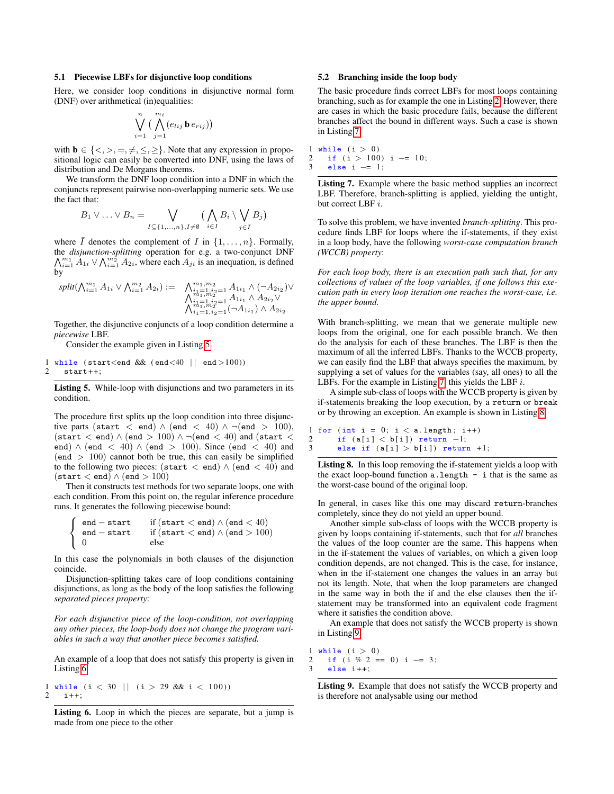### 5.1 Piecewise LBFs for disjunctive loop conditions

Here, we consider loop conditions in disjunctive normal form (DNF) over arithmetical (in)equalities:

$$
\bigvee_{i=1}^n \big(\bigwedge_{j=1}^{m_i} (e_{lij} \mathbf{b} \, e_{rij})\big)
$$

with  $\mathbf{b} \in \{ \langle \rangle, \rangle, =, \neq, \leq, \geq \}$ . Note that any expression in propositional logic can easily be converted into DNF, using the laws of distribution and De Morgans theorems.

We transform the DNF loop condition into a DNF in which the conjuncts represent pairwise non-overlapping numeric sets. We use the fact that:

$$
B_1 \vee \ldots \vee B_n = \bigvee_{I \subseteq \{1,\ldots,n\}, I \neq \emptyset} \left(\bigwedge_{i \in I} B_i \setminus \bigvee_{j \in \overline{I}} B_j\right)
$$

where I denotes the complement of I in  $\{1, \ldots, n\}$ . Formally, the *disjunction-splitting* operation for e.g. a two-conjunct DNF  $\bigwedge_{i=1}^{m_1} A_{1i} \vee \bigwedge_{i=1}^{m_2} A_{2i}$ , where each  $A_{ji}$  is an inequation, is defined by

$$
split(\bigwedge_{i=1}^{m_1} A_{1i} \vee \bigwedge_{i=1}^{m_2} A_{2i}) := \bigwedge_{\substack{i=1 \ i_1, n_2 \ j_1, \ldots, n_1, m_2 \ j_1, \ldots, n_2}}^{m_1, m_2} A_{1i_1} \wedge (\neg A_{2i_2}) \vee \bigwedge_{\substack{i=1 \ i_1, n_2 \ j_1, \ldots, n_1, \ldots, n_2 \ j_1, \ldots, n_1, \ldots, n_2}}^{m_1, m_2} A_{1i_1} \wedge A_{2i_2} \vee
$$

Together, the disjunctive conjuncts of a loop condition determine a *piecewise* LBF.

Consider the example given in Listing [5.](#page-6-0)

<span id="page-6-0"></span>1 while (start  $\lt$ end && (end  $\lt$  40 || end  $>100$ ))<br>
2 start + + :  $start++$ :

Listing 5. While-loop with disjunctions and two parameters in its condition.

The procedure first splits up the loop condition into three disjunctive parts (start < end)  $\land$  (end < 40)  $\land \neg$  (end > 100),  $(\text{start} < \text{end}) \wedge (\text{end} > 100) \wedge \neg (\text{end} < 40)$  and  $(\text{start} <$ end)  $\land$  (end  $\lt$  40)  $\land$  (end  $\gt$  100). Since (end  $\lt$  40) and  $(end > 100)$  cannot both be true, this can easily be simplified to the following two pieces: (start < end)  $\wedge$  (end < 40) and  $(\text{start} < \text{end}) \wedge (\text{end} > 100)$ 

Then it constructs test methods for two separate loops, one with each condition. From this point on, the regular inference procedure runs. It generates the following piecewise bound:

$$
\left\{\begin{array}{ll}\verb&end-start& if (start < end) \land (end < 40) \\ \verb&end-start& if (start < end) \land (end > 100) \\ \verb&0& else \end{array}\right.
$$

In this case the polynomials in both clauses of the disjunction coincide.

Disjunction-splitting takes care of loop conditions containing disjunctions, as long as the body of the loop satisfies the following *separated pieces property*:

*For each disjunctive piece of the loop-condition, not overlapping any other pieces, the loop-body does not change the program variables in such a way that another piece becomes satisfied.*

An example of a loop that does not satisfy this property is given in Listing [6.](#page-6-1)

<span id="page-6-1"></span>1 while  $(i < 30$  ||  $(i > 29$  && i  $(100)$ )  $2 \t i++$ ;

Listing 6. Loop in which the pieces are separate, but a jump is made from one piece to the other

### 5.2 Branching inside the loop body

The basic procedure finds correct LBFs for most loops containing branching, such as for example the one in Listing [2.](#page-1-1) However, there are cases in which the basic procedure fails, because the different branches affect the bound in different ways. Such a case is shown in Listing [7.](#page-6-2)

<span id="page-6-2"></span>1 while  $(i > 0)$ <br>2 if  $(i > 100)$ 2 if  $(i > 100)$  i -= 10;<br>3 else i -= 1: else i  $-$ = 1;

Listing 7. Example where the basic method supplies an incorrect LBF. Therefore, branch-splitting is applied, yielding the untight, but correct LBF i.

To solve this problem, we have invented *branch-splitting*. This procedure finds LBF for loops where the if-statements, if they exist in a loop body, have the following *worst-case computation branch (WCCB) property*:

*For each loop body, there is an execution path such that, for any collections of values of the loop variables, if one follows this execution path in every loop iteration one reaches the worst-case, i.e. the upper bound.*

With branch-splitting, we mean that we generate multiple new loops from the original, one for each possible branch. We then do the analysis for each of these branches. The LBF is then the maximum of all the inferred LBFs. Thanks to the WCCB property, we can easily find the LBF that always specifies the maximum, by supplying a set of values for the variables (say, all ones) to all the LBFs. For the example in Listing [7,](#page-6-2) this yields the LBF  $i$ .

A simple sub-class of loops with the WCCB property is given by if-statements breaking the loop execution, by a return or break or by throwing an exception. An example is shown in Listing [8.](#page-6-3)

```
1 for (int i = 0; i < a.length; i++)<br>
2 if (a[i] < b[i]) return -1:
2 if (a[i] < b[i]) return -1;<br>3 else if (a[i] > b[i]) return
         else if (a[i] > b[i]) return +1;
```
Listing 8. In this loop removing the if-statement yields a loop with the exact loop-bound function  $a$ . length  $-$  i that is the same as the worst-case bound of the original loop.

In general, in cases like this one may discard return-branches completely, since they do not yield an upper bound.

Another simple sub-class of loops with the WCCB property is given by loops containing if-statements, such that for *all* branches the values of the loop counter are the same. This happens when in the if-statement the values of variables, on which a given loop condition depends, are not changed. This is the case, for instance, when in the if-statement one changes the values in an array but not its length. Note, that when the loop parameters are changed in the same way in both the if and the else clauses then the ifstatement may be transformed into an equivalent code fragment where it satisfies the condition above.

An example that does not satisfy the WCCB property is shown in Listing [9.](#page-6-4)

```
1 while (i > 0)<br>2 if (i \% 2 =2 if (i \% 2 == 0) i -3;<br>3 else i++:
      else i++;
```
Listing 9. Example that does not satisfy the WCCB property and is therefore not analysable using our method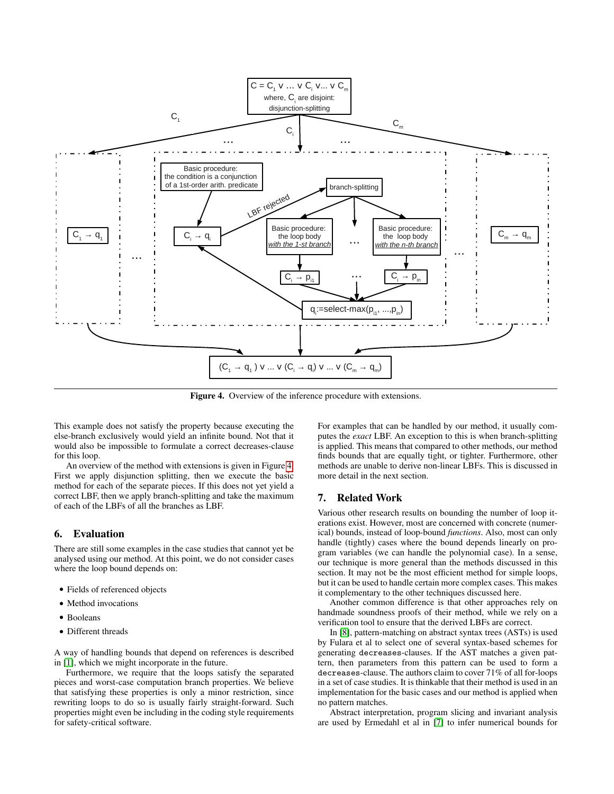

<span id="page-7-2"></span>Figure 4. Overview of the inference procedure with extensions.

This example does not satisfy the property because executing the else-branch exclusively would yield an infinite bound. Not that it would also be impossible to formulate a correct decreases-clause for this loop.

An overview of the method with extensions is given in Figure [4.](#page-7-2) First we apply disjunction splitting, then we execute the basic method for each of the separate pieces. If this does not yet yield a correct LBF, then we apply branch-splitting and take the maximum of each of the LBFs of all the branches as LBF.

# <span id="page-7-0"></span>6. Evaluation

There are still some examples in the case studies that cannot yet be analysed using our method. At this point, we do not consider cases where the loop bound depends on:

- Fields of referenced objects
- Method invocations
- Booleans
- Different threads

A way of handling bounds that depend on references is described in [\[1\]](#page-9-14), which we might incorporate in the future.

Furthermore, we require that the loops satisfy the separated pieces and worst-case computation branch properties. We believe that satisfying these properties is only a minor restriction, since rewriting loops to do so is usually fairly straight-forward. Such properties might even be including in the coding style requirements for safety-critical software.

For examples that can be handled by our method, it usually computes the *exact* LBF. An exception to this is when branch-splitting is applied. This means that compared to other methods, our method finds bounds that are equally tight, or tighter. Furthermore, other methods are unable to derive non-linear LBFs. This is discussed in more detail in the next section.

# <span id="page-7-1"></span>7. Related Work

Various other research results on bounding the number of loop iterations exist. However, most are concerned with concrete (numerical) bounds, instead of loop-bound *functions*. Also, most can only handle (tightly) cases where the bound depends linearly on program variables (we can handle the polynomial case). In a sense, our technique is more general than the methods discussed in this section. It may not be the most efficient method for simple loops, but it can be used to handle certain more complex cases. This makes it complementary to the other techniques discussed here.

Another common difference is that other approaches rely on handmade soundness proofs of their method, while we rely on a verification tool to ensure that the derived LBFs are correct.

In [\[8\]](#page-9-15), pattern-matching on abstract syntax trees (ASTs) is used by Fulara et al to select one of several syntax-based schemes for generating decreases-clauses. If the AST matches a given pattern, then parameters from this pattern can be used to form a decreases-clause. The authors claim to cover 71% of all for-loops in a set of case studies. It is thinkable that their method is used in an implementation for the basic cases and our method is applied when no pattern matches.

Abstract interpretation, program slicing and invariant analysis are used by Ermedahl et al in [\[7\]](#page-9-3) to infer numerical bounds for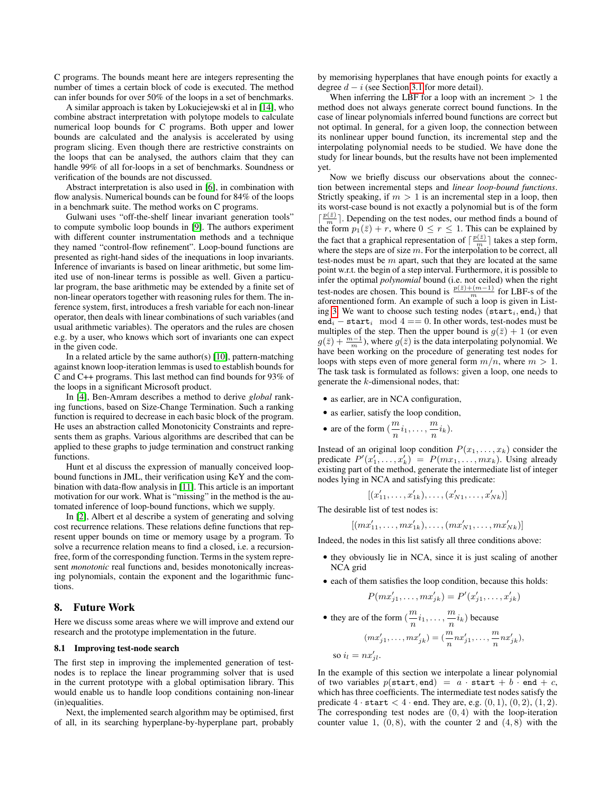C programs. The bounds meant here are integers representing the number of times a certain block of code is executed. The method can infer bounds for over 50% of the loops in a set of benchmarks.

A similar approach is taken by Lokuciejewski et al in [\[14\]](#page-9-4), who combine abstract interpretation with polytope models to calculate numerical loop bounds for C programs. Both upper and lower bounds are calculated and the analysis is accelerated by using program slicing. Even though there are restrictive constraints on the loops that can be analysed, the authors claim that they can handle 99% of all for-loops in a set of benchmarks. Soundness or verification of the bounds are not discussed.

Abstract interpretation is also used in [\[6\]](#page-9-16), in combination with flow analysis. Numerical bounds can be found for 84% of the loops in a benchmark suite. The method works on C programs.

Gulwani uses "off-the-shelf linear invariant generation tools" to compute symbolic loop bounds in [\[9\]](#page-9-0). The authors experiment with different counter instrumentation methods and a technique they named "control-flow refinement". Loop-bound functions are presented as right-hand sides of the inequations in loop invariants. Inference of invariants is based on linear arithmetic, but some limited use of non-linear terms is possible as well. Given a particular program, the base arithmetic may be extended by a finite set of non-linear operators together with reasoning rules for them. The inference system, first, introduces a fresh variable for each non-linear operator, then deals with linear combinations of such variables (and usual arithmetic variables). The operators and the rules are chosen e.g. by a user, who knows which sort of invariants one can expect in the given code.

In a related article by the same author(s)  $[10]$ , pattern-matching against known loop-iteration lemmas is used to establish bounds for C and C++ programs. This last method can find bounds for 93% of the loops in a significant Microsoft product.

In [\[4\]](#page-9-18), Ben-Amram describes a method to derive *global* ranking functions, based on Size-Change Termination. Such a ranking function is required to decrease in each basic block of the program. He uses an abstraction called Monotonicity Constraints and represents them as graphs. Various algorithms are described that can be applied to these graphs to judge termination and construct ranking functions.

Hunt et al discuss the expression of manually conceived loopbound functions in JML, their verification using KeY and the combination with data-flow analysis in [\[11\]](#page-9-11). This article is an important motivation for our work. What is "missing" in the method is the automated inference of loop-bound functions, which we supply.

In [\[2\]](#page-9-19), Albert et al describe a system of generating and solving cost recurrence relations. These relations define functions that represent upper bounds on time or memory usage by a program. To solve a recurrence relation means to find a closed, i.e. a recursionfree, form of the corresponding function. Terms in the system represent *monotonic* real functions and, besides monotonically increasing polynomials, contain the exponent and the logarithmic functions.

# <span id="page-8-0"></span>8. Future Work

Here we discuss some areas where we will improve and extend our research and the prototype implementation in the future.

## 8.1 Improving test-node search

The first step in improving the implemented generation of testnodes is to replace the linear programming solver that is used in the current prototype with a global optimisation library. This would enable us to handle loop conditions containing non-linear (in)equalities.

Next, the implemented search algorithm may be optimised, first of all, in its searching hyperplane-by-hyperplane part, probably

by memorising hyperplanes that have enough points for exactly a degree  $d - i$  (see Section [3.1](#page-3-3) for more detail).

When inferring the LBF for a loop with an increment  $> 1$  the method does not always generate correct bound functions. In the case of linear polynomials inferred bound functions are correct but not optimal. In general, for a given loop, the connection between its nonlinear upper bound function, its incremental step and the interpolating polynomial needs to be studied. We have done the study for linear bounds, but the results have not been implemented yet.

Now we briefly discuss our observations about the connection between incremental steps and *linear loop-bound functions*. Strictly speaking, if  $m > 1$  is an incremental step in a loop, then its worst-case bound is not exactly a polynomial but is of the form  $\lceil \frac{p(\bar{z})}{m} \rceil$ . Depending on the test nodes, our method finds a bound of the form  $p_1(\bar{z}) + r$ , where  $0 \le r \le 1$ . This can be explained by the fact that a graphical representation of  $\lceil \frac{p(\bar{z})}{m} \rceil$  takes a step form, where the steps are of size  $m$ . For the interpolation to be correct, all test-nodes must be  $m$  apart, such that they are located at the same point w.r.t. the begin of a step interval. Furthermore, it is possible to infer the optimal *polynomial* bound (i.e. not ceiled) when the right test-nodes are chosen. This bound is  $\frac{p(\bar{z})+(m-1)}{m}$  for LBF-s of the aforementioned form. An example of such a loop is given in List-ing [3.](#page-4-0) We want to choose such testing nodes ( $\texttt{start}_i, \texttt{end}_i$ ) that end<sub>i</sub> – start<sub>i</sub> mod 4 == 0. In other words, test-nodes must be multiples of the step. Then the upper bound is  $g(\bar{z}) + 1$  (or even  $g(\bar{z}) + \frac{m-1}{m}$ ), where  $g(\bar{z})$  is the data interpolating polynomial. We have been working on the procedure of generating test nodes for loops with steps even of more general form  $m/n$ , where  $m > 1$ . The task task is formulated as follows: given a loop, one needs to generate the k-dimensional nodes, that:

- as earlier, are in NCA configuration,
- as earlier, satisfy the loop condition,
- are of the form  $\left(\frac{m}{m}\right)$  $\frac{m}{n}i_1,\ldots,\frac{m}{n}$  $\frac{n}{n}$  $(i_k)$ .

Instead of an original loop condition  $P(x_1, \ldots, x_k)$  consider the predicate  $P'(x'_1, \ldots, x'_k) = P(mx_1, \ldots, mx_k)$ . Using already existing part of the method, generate the intermediate list of integer nodes lying in NCA and satisfying this predicate:

$$
[(x'_{11},\ldots,x'_{1k}),\ldots,(x'_{N1},\ldots,x'_{Nk})]
$$

The desirable list of test nodes is:

 $\mathcal{L}$ 

$$
mx'_{11},\ldots,mx'_{1k}),\ldots,(mx'_{N1},\ldots,mx'_{Nk})]
$$

Indeed, the nodes in this list satisfy all three conditions above:

- they obviously lie in NCA, since it is just scaling of another NCA grid
- each of them satisfies the loop condition, because this holds:

$$
P(mx'_{j1},\ldots,mx'_{jk})=P'(x'_{j1},\ldots,x'_{jk})
$$

• they are of the form  $\left(\frac{m}{m}\right)$  $\frac{m}{n}i_1,\ldots,\frac{m}{n}$  $\frac{m}{n}$  $i_k$ ) because  $(mx'_{j1}, \ldots, mx'_{jk}) = (\frac{m}{n}nx'_{j1}, \ldots, \frac{m}{n})$  $\frac{m}{n}nx'_{jk}),$ so  $i_l = nx'_{jl}$ .

In the example of this section we interpolate a linear polynomial of two variables  $p(\text{start}, \text{end}) = a \cdot \text{start} + b \cdot \text{end} + c$ , which has three coefficients. The intermediate test nodes satisfy the predicate  $4 \cdot \texttt{start} < 4 \cdot \texttt{end}$ . They are, e.g.  $(0, 1), (0, 2), (1, 2)$ . The corresponding test nodes are  $(0, 4)$  with the loop-iteration counter value 1,  $(0, 8)$ , with the counter 2 and  $(4, 8)$  with the